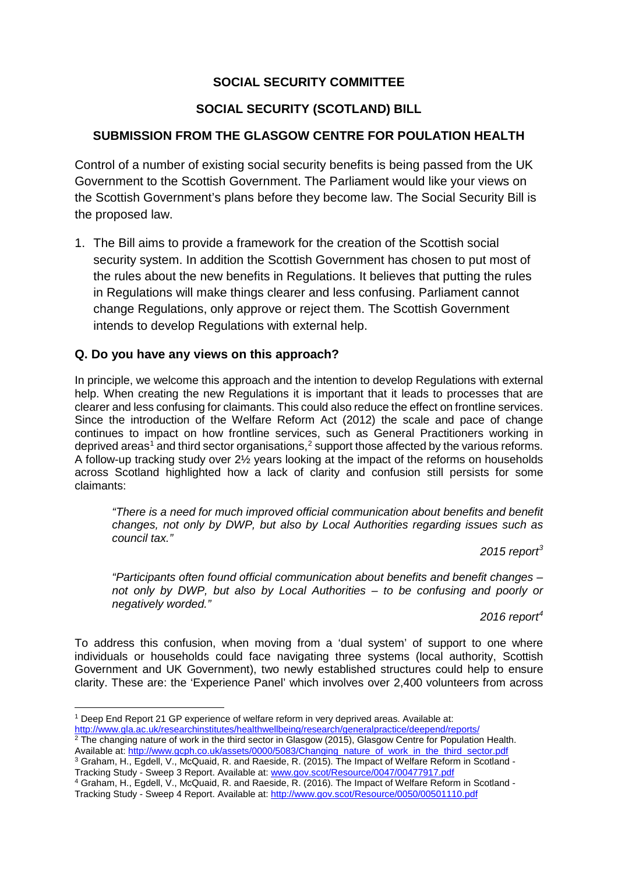## **SOCIAL SECURITY COMMITTEE**

## **SOCIAL SECURITY (SCOTLAND) BILL**

#### **SUBMISSION FROM THE GLASGOW CENTRE FOR POULATION HEALTH**

Control of a number of existing social security benefits is being passed from the UK Government to the Scottish Government. The Parliament would like your views on the Scottish Government's plans before they become law. The Social Security Bill is the proposed law.

1. The Bill aims to provide a framework for the creation of the Scottish social security system. In addition the Scottish Government has chosen to put most of the rules about the new benefits in Regulations. It believes that putting the rules in Regulations will make things clearer and less confusing. Parliament cannot change Regulations, only approve or reject them. The Scottish Government intends to develop Regulations with external help.

#### **Q. Do you have any views on this approach?**

In principle, we welcome this approach and the intention to develop Regulations with external help. When creating the new Regulations it is important that it leads to processes that are clearer and less confusing for claimants. This could also reduce the effect on frontline services. Since the introduction of the Welfare Reform Act (2012) the scale and pace of change continues to impact on how frontline services, such as General Practitioners working in deprived areas<sup>[1](#page-0-0)</sup> and third sector organisations,<sup>[2](#page-0-1)</sup> support those affected by the various reforms. A follow-up tracking study over 2½ years looking at the impact of the reforms on households across Scotland highlighted how a lack of clarity and confusion still persists for some claimants:

*"There is a need for much improved official communication about benefits and benefit changes, not only by DWP, but also by Local Authorities regarding issues such as council tax."*

*2015 report[3](#page-0-2)* 

*"Participants often found official communication about benefits and benefit changes – not only by DWP, but also by Local Authorities – to be confusing and poorly or negatively worded."*

*2016 report[4](#page-0-3)* 

To address this confusion, when moving from a 'dual system' of support to one where individuals or households could face navigating three systems (local authority, Scottish Government and UK Government), two newly established structures could help to ensure clarity. These are: the 'Experience Panel' which involves over 2,400 volunteers from across

<span id="page-0-0"></span> <sup>1</sup> Deep End Report 21 GP experience of welfare reform in very deprived areas. Available at:

<http://www.gla.ac.uk/researchinstitutes/healthwellbeing/research/generalpractice/deepend/reports/>

<span id="page-0-1"></span> $2$  The changing nature of work in the third sector in Glasgow (2015), Glasgow Centre for Population Health. Available at[: http://www.gcph.co.uk/assets/0000/5083/Changing\\_nature\\_of\\_work\\_in\\_the\\_third\\_sector.pdf](http://www.gcph.co.uk/assets/0000/5083/Changing_nature_of_work_in_the_third_sector.pdf) <sup>3</sup> Graham, H., Egdell, V., McQuaid, R. and Raeside, R. (2015). The Impact of Welfare Reform in Scotland -

<span id="page-0-2"></span>Tracking Study - Sweep 3 Report. Available at: <u>www.gov.scot/Resource/0047/00477917.pdf</u>

<span id="page-0-3"></span><sup>4</sup> Graham, H., Egdell, V., McQuaid, R. and Raeside, R. (2016). The Impact of Welfare Reform in Scotland - Tracking Study - Sweep 4 Report. Available at:<http://www.gov.scot/Resource/0050/00501110.pdf>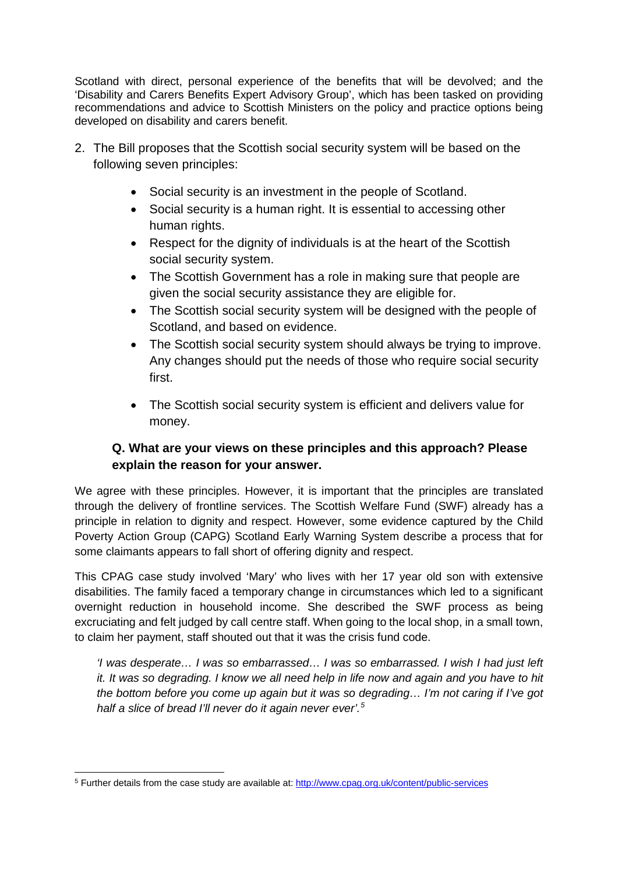Scotland with direct, personal experience of the benefits that will be devolved; and the 'Disability and Carers Benefits Expert Advisory Group', which has been tasked on providing recommendations and advice to Scottish Ministers on the policy and practice options being developed on disability and carers benefit.

- 2. The Bill proposes that the Scottish social security system will be based on the following seven principles:
	- Social security is an investment in the people of Scotland.
	- Social security is a human right. It is essential to accessing other human rights.
	- Respect for the dignity of individuals is at the heart of the Scottish social security system.
	- The Scottish Government has a role in making sure that people are given the social security assistance they are eligible for.
	- The Scottish social security system will be designed with the people of Scotland, and based on evidence.
	- The Scottish social security system should always be trying to improve. Any changes should put the needs of those who require social security first.
	- The Scottish social security system is efficient and delivers value for money.

# **Q. What are your views on these principles and this approach? Please explain the reason for your answer.**

We agree with these principles. However, it is important that the principles are translated through the delivery of frontline services. The Scottish Welfare Fund (SWF) already has a principle in relation to dignity and respect. However, some evidence captured by the Child Poverty Action Group (CAPG) Scotland Early Warning System describe a process that for some claimants appears to fall short of offering dignity and respect.

This CPAG case study involved 'Mary' who lives with her 17 year old son with extensive disabilities. The family faced a temporary change in circumstances which led to a significant overnight reduction in household income. She described the SWF process as being excruciating and felt judged by call centre staff. When going to the local shop, in a small town, to claim her payment, staff shouted out that it was the crisis fund code.

*'I was desperate… I was so embarrassed… I was so embarrassed. I wish I had just left it. It was so degrading. I know we all need help in life now and again and you have to hit the bottom before you come up again but it was so degrading… I'm not caring if I've got half a slice of bread I'll never do it again never ever'.[5](#page-1-0)*

<span id="page-1-0"></span> <sup>5</sup> Further details from the case study are available at:<http://www.cpag.org.uk/content/public-services>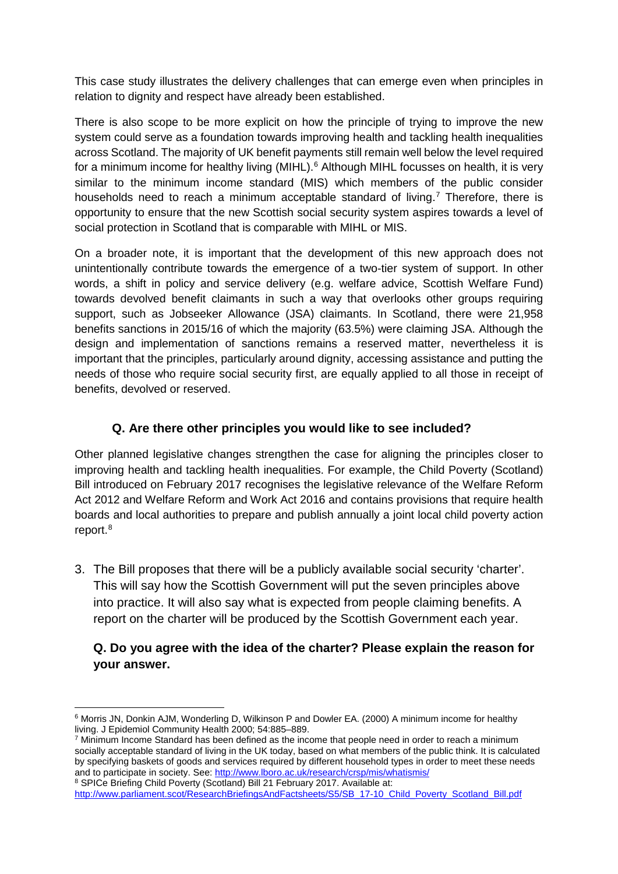This case study illustrates the delivery challenges that can emerge even when principles in relation to dignity and respect have already been established.

There is also scope to be more explicit on how the principle of trying to improve the new system could serve as a foundation towards improving health and tackling health inequalities across Scotland. The majority of UK benefit payments still remain well below the level required for a minimum income for healthy living (MIHL).<sup>[6](#page-2-0)</sup> Although MIHL focusses on health, it is very similar to the minimum income standard (MIS) which members of the public consider households need to reach a minimum acceptable standard of living.<sup>[7](#page-2-1)</sup> Therefore, there is opportunity to ensure that the new Scottish social security system aspires towards a level of social protection in Scotland that is comparable with MIHL or MIS.

On a broader note, it is important that the development of this new approach does not unintentionally contribute towards the emergence of a two-tier system of support. In other words, a shift in policy and service delivery (e.g. welfare advice, Scottish Welfare Fund) towards devolved benefit claimants in such a way that overlooks other groups requiring support, such as Jobseeker Allowance (JSA) claimants. In Scotland, there were 21,958 benefits sanctions in 2015/16 of which the majority (63.5%) were claiming JSA. Although the design and implementation of sanctions remains a reserved matter, nevertheless it is important that the principles, particularly around dignity, accessing assistance and putting the needs of those who require social security first, are equally applied to all those in receipt of benefits, devolved or reserved.

## **Q. Are there other principles you would like to see included?**

Other planned legislative changes strengthen the case for aligning the principles closer to improving health and tackling health inequalities. For example, the Child Poverty (Scotland) Bill introduced on February 2017 recognises the legislative relevance of the Welfare Reform Act 2012 and Welfare Reform and Work Act 2016 and contains provisions that require health boards and local authorities to prepare and publish annually a joint local child poverty action report. [8](#page-2-2)

3. The Bill proposes that there will be a publicly available social security 'charter'. This will say how the Scottish Government will put the seven principles above into practice. It will also say what is expected from people claiming benefits. A report on the charter will be produced by the Scottish Government each year.

## **Q. Do you agree with the idea of the charter? Please explain the reason for your answer.**

<span id="page-2-0"></span> <sup>6</sup> Morris JN, Donkin AJM, Wonderling D, Wilkinson P and Dowler EA. (2000) A minimum income for healthy living. J Epidemiol Community Health 2000; 54:885–889.

<span id="page-2-1"></span> $7$  Minimum Income Standard has been defined as the income that people need in order to reach a minimum socially acceptable standard of living in the UK today, based on what members of the public think. It is calculated by specifying baskets of goods and services required by different household types in order to meet these needs and to participate in society. See:<http://www.lboro.ac.uk/research/crsp/mis/whatismis/> 8 SPICe Briefing Child Poverty (Scotland) Bill 21 February 2017. Available at:

<span id="page-2-2"></span>[http://www.parliament.scot/ResearchBriefingsAndFactsheets/S5/SB\\_17-10\\_Child\\_Poverty\\_Scotland\\_Bill.pdf](http://www.parliament.scot/ResearchBriefingsAndFactsheets/S5/SB_17-10_Child_Poverty_Scotland_Bill.pdf)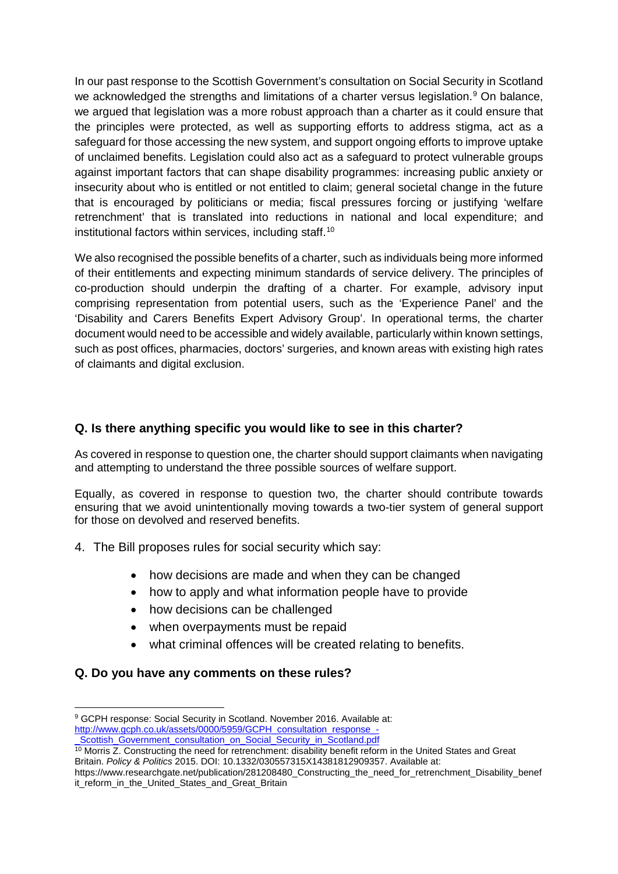In our past response to the Scottish Government's consultation on Social Security in Scotland we acknowledged the strengths and limitations of a charter versus legislation.<sup>[9](#page-3-0)</sup> On balance, we argued that legislation was a more robust approach than a charter as it could ensure that the principles were protected, as well as supporting efforts to address stigma, act as a safeguard for those accessing the new system, and support ongoing efforts to improve uptake of unclaimed benefits. Legislation could also act as a safeguard to protect vulnerable groups against important factors that can shape disability programmes: increasing public anxiety or insecurity about who is entitled or not entitled to claim; general societal change in the future that is encouraged by politicians or media; fiscal pressures forcing or justifying 'welfare retrenchment' that is translated into reductions in national and local expenditure; and institutional factors within services, including staff.<sup>[10](#page-3-1)</sup>

We also recognised the possible benefits of a charter, such as individuals being more informed of their entitlements and expecting minimum standards of service delivery. The principles of co-production should underpin the drafting of a charter. For example, advisory input comprising representation from potential users, such as the 'Experience Panel' and the 'Disability and Carers Benefits Expert Advisory Group'. In operational terms, the charter document would need to be accessible and widely available, particularly within known settings, such as post offices, pharmacies, doctors' surgeries, and known areas with existing high rates of claimants and digital exclusion.

## **Q. Is there anything specific you would like to see in this charter?**

As covered in response to question one, the charter should support claimants when navigating and attempting to understand the three possible sources of welfare support.

Equally, as covered in response to question two, the charter should contribute towards ensuring that we avoid unintentionally moving towards a two-tier system of general support for those on devolved and reserved benefits.

- 4. The Bill proposes rules for social security which say:
	- how decisions are made and when they can be changed
	- how to apply and what information people have to provide
	- how decisions can be challenged
	- when overpayments must be repaid
	- what criminal offences will be created relating to benefits.

#### **Q. Do you have any comments on these rules?**

<span id="page-3-0"></span><sup>9</sup> GCPH response: Social Security in Scotland. November 2016. Available at: [http://www.gcph.co.uk/assets/0000/5959/GCPH\\_consultation\\_response\\_-](http://www.gcph.co.uk/assets/0000/5959/GCPH_consultation_response_-_Scottish_Government_consultation_on_Social_Security_in_Scotland.pdf)

Scottish\_Government\_consultation\_on\_Social\_Security\_in\_Scotland.pdf

<span id="page-3-1"></span><sup>&</sup>lt;sup>10</sup> Morris Z. Constructing the need for retrenchment: disability benefit reform in the United States and Great Britain. *Policy & Politics* 2015. DOI: 10.1332/030557315X14381812909357. Available at:

https://www.researchgate.net/publication/281208480\_Constructing\_the\_need\_for\_retrenchment\_Disability\_benef it\_reform\_in\_the\_United\_States\_and\_Great\_Britain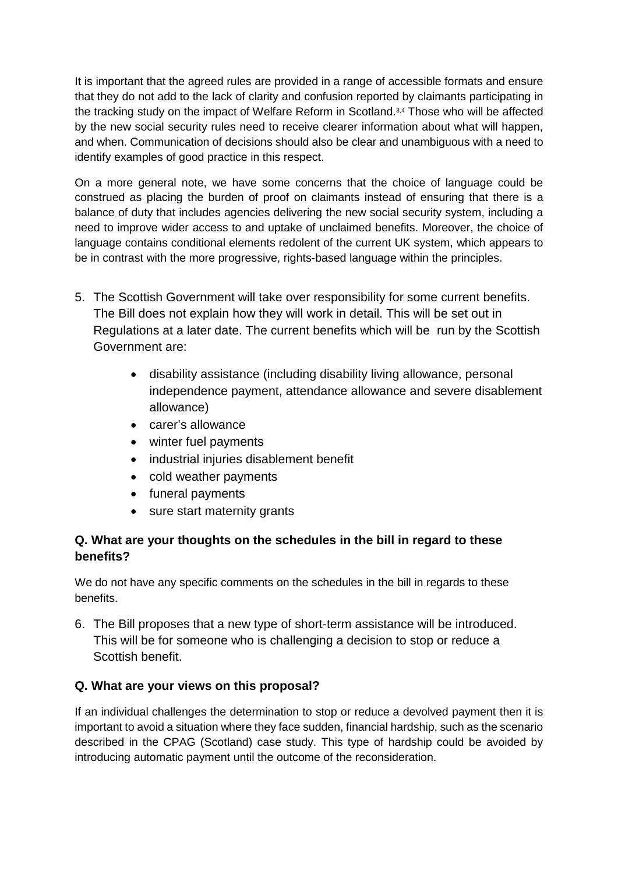It is important that the agreed rules are provided in a range of accessible formats and ensure that they do not add to the lack of clarity and confusion reported by claimants participating in the tracking study on the impact of Welfare Reform in Scotland.3,4 Those who will be affected by the new social security rules need to receive clearer information about what will happen, and when. Communication of decisions should also be clear and unambiguous with a need to identify examples of good practice in this respect.

On a more general note, we have some concerns that the choice of language could be construed as placing the burden of proof on claimants instead of ensuring that there is a balance of duty that includes agencies delivering the new social security system, including a need to improve wider access to and uptake of unclaimed benefits. Moreover, the choice of language contains conditional elements redolent of the current UK system, which appears to be in contrast with the more progressive, rights-based language within the principles.

- 5. The Scottish Government will take over responsibility for some current benefits. The Bill does not explain how they will work in detail. This will be set out in Regulations at a later date. The current benefits which will be run by the Scottish Government are:
	- disability assistance (including disability living allowance, personal independence payment, attendance allowance and severe disablement allowance)
	- carer's allowance
	- winter fuel payments
	- industrial injuries disablement benefit
	- cold weather payments
	- funeral payments
	- sure start maternity grants

## **Q. What are your thoughts on the schedules in the bill in regard to these benefits?**

We do not have any specific comments on the schedules in the bill in regards to these benefits.

6. The Bill proposes that a new type of short-term assistance will be introduced. This will be for someone who is challenging a decision to stop or reduce a Scottish benefit.

## **Q. What are your views on this proposal?**

If an individual challenges the determination to stop or reduce a devolved payment then it is important to avoid a situation where they face sudden, financial hardship, such as the scenario described in the CPAG (Scotland) case study. This type of hardship could be avoided by introducing automatic payment until the outcome of the reconsideration.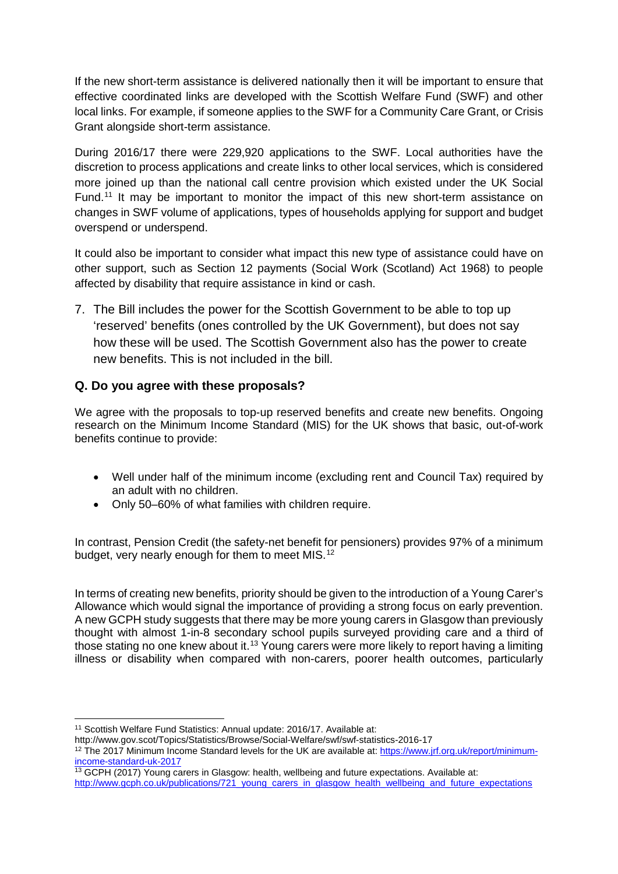If the new short-term assistance is delivered nationally then it will be important to ensure that effective coordinated links are developed with the Scottish Welfare Fund (SWF) and other local links. For example, if someone applies to the SWF for a Community Care Grant, or Crisis Grant alongside short-term assistance.

During 2016/17 there were 229,920 applications to the SWF. Local authorities have the discretion to process applications and create links to other local services, which is considered more joined up than the national call centre provision which existed under the UK Social Fund.<sup>[11](#page-5-0)</sup> It may be important to monitor the impact of this new short-term assistance on changes in SWF volume of applications, types of households applying for support and budget overspend or underspend.

It could also be important to consider what impact this new type of assistance could have on other support, such as Section 12 payments (Social Work (Scotland) Act 1968) to people affected by disability that require assistance in kind or cash.

7. The Bill includes the power for the Scottish Government to be able to top up 'reserved' benefits (ones controlled by the UK Government), but does not say how these will be used. The Scottish Government also has the power to create new benefits. This is not included in the bill.

## **Q. Do you agree with these proposals?**

We agree with the proposals to top-up reserved benefits and create new benefits. Ongoing research on the Minimum Income Standard (MIS) for the UK shows that basic, out-of-work benefits continue to provide:

- Well under half of the minimum income (excluding rent and Council Tax) required by an adult with no children.
- Only 50–60% of what families with children require.

In contrast, Pension Credit (the safety-net benefit for pensioners) provides 97% of a minimum budget, very nearly enough for them to meet MIS.<sup>[12](#page-5-1)</sup>

In terms of creating new benefits, priority should be given to the introduction of a Young Carer's Allowance which would signal the importance of providing a strong focus on early prevention. A new GCPH study suggests that there may be more young carers in Glasgow than previously thought with almost 1-in-8 secondary school pupils surveyed providing care and a third of those stating no one knew about it.<sup>[13](#page-5-2)</sup> Young carers were more likely to report having a limiting illness or disability when compared with non-carers, poorer health outcomes, particularly

http://www.gcph.co.uk/publications/721\_voung\_carers\_in\_glasgow\_health\_wellbeing\_and\_future\_expectations

<sup>&</sup>lt;sup>11</sup> Scottish Welfare Fund Statistics: Annual update: 2016/17. Available at:

<span id="page-5-0"></span>http://www.gov.scot/Topics/Statistics/Browse/Social-Welfare/swf/swf-statistics-2016-17

<span id="page-5-1"></span><sup>&</sup>lt;sup>12</sup> The 2017 Minimum Income Standard levels for the UK are available at: [https://www.jrf.org.uk/report/minimum](https://www.jrf.org.uk/report/minimum-income-standard-uk-2017)[income-standard-uk-2017](https://www.jrf.org.uk/report/minimum-income-standard-uk-2017)

<span id="page-5-2"></span><sup>&</sup>lt;sup>13</sup> GCPH (2017) Young carers in Glasgow: health, wellbeing and future expectations. Available at: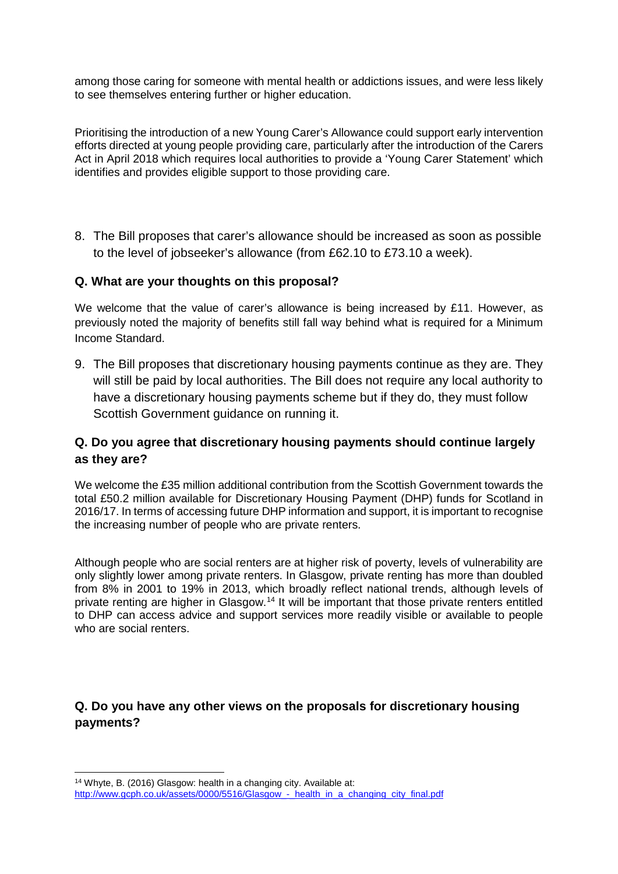among those caring for someone with mental health or addictions issues, and were less likely to see themselves entering further or higher education.

Prioritising the introduction of a new Young Carer's Allowance could support early intervention efforts directed at young people providing care, particularly after the introduction of the Carers Act in April 2018 which requires local authorities to provide a 'Young Carer Statement' which identifies and provides eligible support to those providing care.

8. The Bill proposes that carer's allowance should be increased as soon as possible to the level of jobseeker's allowance (from £62.10 to £73.10 a week).

#### **Q. What are your thoughts on this proposal?**

We welcome that the value of carer's allowance is being increased by £11. However, as previously noted the majority of benefits still fall way behind what is required for a Minimum Income Standard.

9. The Bill proposes that discretionary housing payments continue as they are. They will still be paid by local authorities. The Bill does not require any local authority to have a discretionary housing payments scheme but if they do, they must follow Scottish Government guidance on running it.

## **Q. Do you agree that discretionary housing payments should continue largely as they are?**

We welcome the £35 million additional contribution from the Scottish Government towards the total £50.2 million available for Discretionary Housing Payment (DHP) funds for Scotland in 2016/17. In terms of accessing future DHP information and support, it is important to recognise the increasing number of people who are private renters.

Although people who are social renters are at higher risk of poverty, levels of vulnerability are only slightly lower among private renters. In Glasgow, private renting has more than doubled from 8% in 2001 to 19% in 2013, which broadly reflect national trends, although levels of private renting are higher in Glasgow.<sup>[14](#page-6-0)</sup> It will be important that those private renters entitled to DHP can access advice and support services more readily visible or available to people who are social renters.

## **Q. Do you have any other views on the proposals for discretionary housing payments?**

<span id="page-6-0"></span> <sup>14</sup> Whyte, B. (2016) Glasgow: health in a changing city. Available at: [http://www.gcph.co.uk/assets/0000/5516/Glasgow\\_-\\_health\\_in\\_a\\_changing\\_city\\_final.pdf](http://www.gcph.co.uk/assets/0000/5516/Glasgow_-_health_in_a_changing_city_final.pdf)